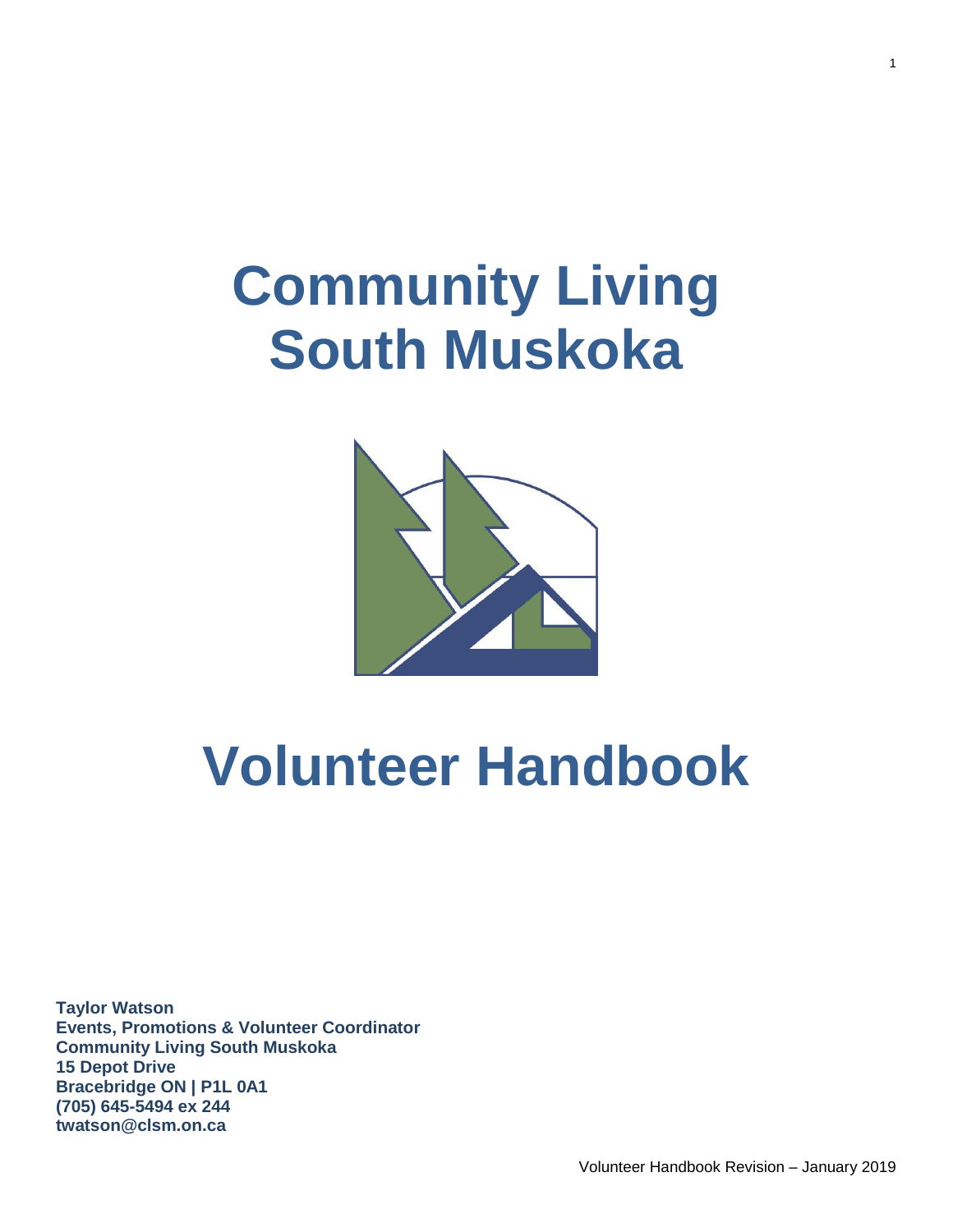# **Community Living South Muskoka**



# **Volunteer Handbook**

**Taylor Watson Events, Promotions & Volunteer Coordinator Community Living South Muskoka 15 Depot Drive Bracebridge ON | P1L 0A1 (705) 645-5494 ex 244 twatson@clsm.on.ca**

Volunteer Handbook Revision – January 2019

1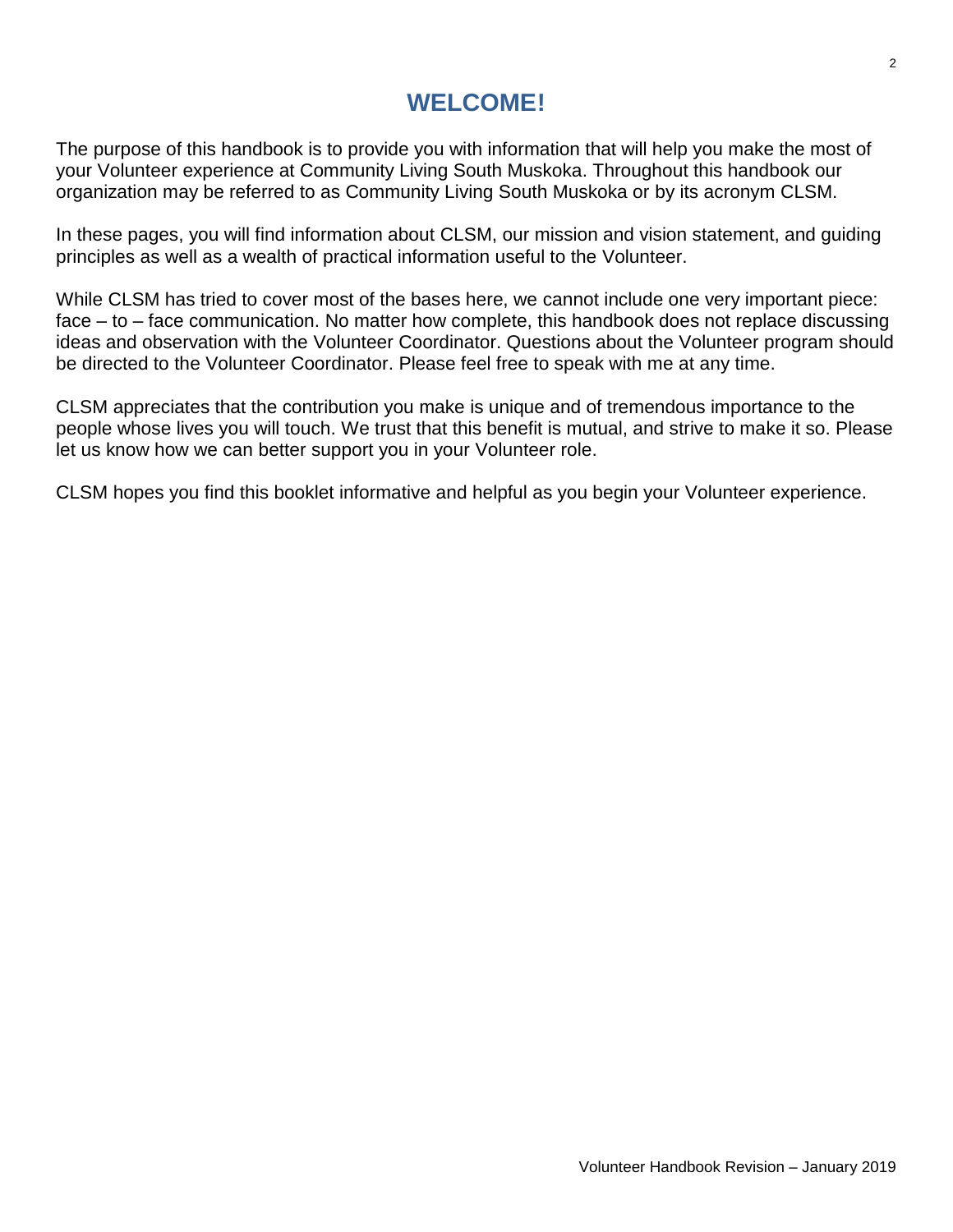### **WELCOME!**

The purpose of this handbook is to provide you with information that will help you make the most of your Volunteer experience at Community Living South Muskoka. Throughout this handbook our organization may be referred to as Community Living South Muskoka or by its acronym CLSM.

In these pages, you will find information about CLSM, our mission and vision statement, and guiding principles as well as a wealth of practical information useful to the Volunteer.

While CLSM has tried to cover most of the bases here, we cannot include one very important piece: face – to – face communication. No matter how complete, this handbook does not replace discussing ideas and observation with the Volunteer Coordinator. Questions about the Volunteer program should be directed to the Volunteer Coordinator. Please feel free to speak with me at any time.

CLSM appreciates that the contribution you make is unique and of tremendous importance to the people whose lives you will touch. We trust that this benefit is mutual, and strive to make it so. Please let us know how we can better support you in your Volunteer role.

CLSM hopes you find this booklet informative and helpful as you begin your Volunteer experience.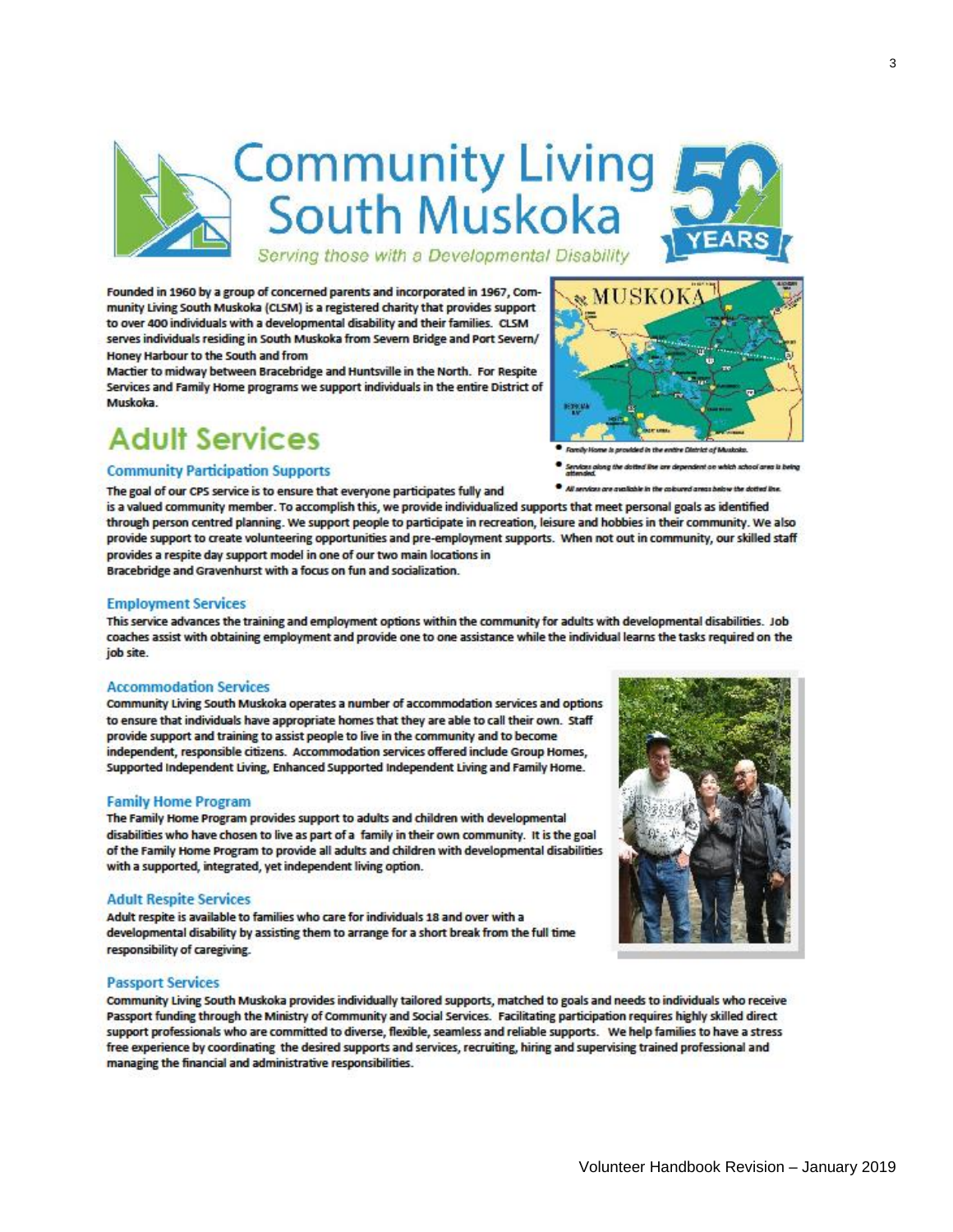

Founded in 1960 by a group of concerned parents and incorporated in 1967, Community Living South Muskoka (CLSM) is a registered charity that provides support to over 400 individuals with a developmental disability and their families. CLSM serves individuals residing in South Muskoka from Severn Bridge and Port Severn/ Honey Harbour to the South and from

Mactier to midway between Bracebridge and Huntsville in the North. For Respite Services and Family Home programs we support individuals in the entire District of Muskoka.

## **Adult Services**

#### **Community Participation Supports**

The goal of our CPS service is to ensure that everyone participates fully and



is a valued community member. To accomplish this, we provide individualized supports that meet personal goals as identified through person centred planning. We support people to participate in recreation, leisure and hobbies in their community. We also provide support to create volunteering opportunities and pre-employment supports. When not out in community, our skilled staff provides a respite day support model in one of our two main locations in

Bracebridge and Gravenhurst with a focus on fun and socialization.

#### **Employment Services**

This service advances the training and employment options within the community for adults with developmental disabilities. Job coaches assist with obtaining employment and provide one to one assistance while the individual learns the tasks required on the job site.

#### **Accommodation Services**

Community Living South Muskoka operates a number of accommodation services and options to ensure that individuals have appropriate homes that they are able to call their own. Staff provide support and training to assist people to live in the community and to become independent, responsible citizens. Accommodation services offered include Group Homes, Supported Independent Living, Enhanced Supported Independent Living and Family Home.

#### **Family Home Program**

The Family Home Program provides support to adults and children with developmental disabilities who have chosen to live as part of a family in their own community. It is the goal of the Family Home Program to provide all adults and children with developmental disabilities with a supported, integrated, yet independent living option.

#### **Adult Respite Services**

Adult respite is available to families who care for individuals 18 and over with a developmental disability by assisting them to arrange for a short break from the full time responsibility of caregiving.

#### **Passport Services**

Community Living South Muskoka provides individually tailored supports, matched to goals and needs to individuals who receive Passport funding through the Ministry of Community and Social Services. Facilitating participation requires highly skilled direct support professionals who are committed to diverse, flexible, seamless and reliable supports. We help families to have a stress free experience by coordinating the desired supports and services, recruiting, hiring and supervising trained professional and managing the financial and administrative responsibilities.

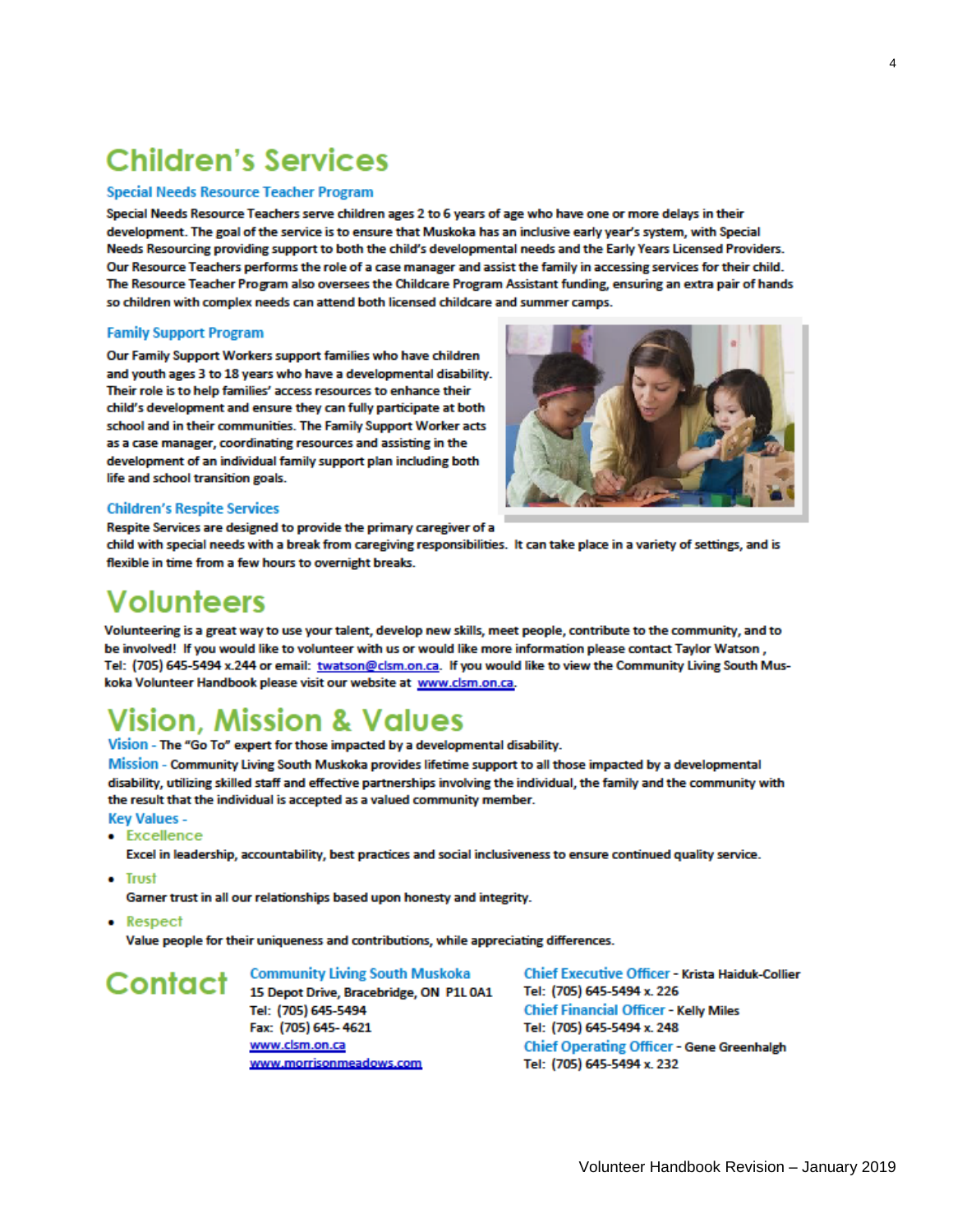## **Children's Services**

#### **Special Needs Resource Teacher Program**

Special Needs Resource Teachers serve children ages 2 to 6 years of age who have one or more delays in their development. The goal of the service is to ensure that Muskoka has an inclusive early year's system, with Special Needs Resourcing providing support to both the child's developmental needs and the Early Years Licensed Providers. Our Resource Teachers performs the role of a case manager and assist the family in accessing services for their child. The Resource Teacher Program also oversees the Childcare Program Assistant funding, ensuring an extra pair of hands so children with complex needs can attend both licensed childcare and summer camps.

#### **Family Support Program**

Our Family Support Workers support families who have children and youth ages 3 to 18 years who have a developmental disability. Their role is to help families' access resources to enhance their child's development and ensure they can fully participate at both school and in their communities. The Family Support Worker acts as a case manager, coordinating resources and assisting in the development of an individual family support plan including both life and school transition goals.



#### **Children's Respite Services**

Respite Services are designed to provide the primary caregiver of a

child with special needs with a break from caregiving responsibilities. It can take place in a variety of settings, and is flexible in time from a few hours to overnight breaks.

## **Volunteers**

Volunteering is a great way to use your talent, develop new skills, meet people, contribute to the community, and to be involved! If you would like to volunteer with us or would like more information please contact Taylor Watson, Tel: (705) 645-5494 x.244 or email: twatson@clsm.on.ca. If you would like to view the Community Living South Muskoka Volunteer Handbook please visit our website at www.clsm.on.ca.

## **Vision, Mission & Values**

Vision - The "Go To" expert for those impacted by a developmental disability.

Mission - Community Living South Muskoka provides lifetime support to all those impacted by a developmental disability, utilizing skilled staff and effective partnerships involving the individual, the family and the community with the result that the individual is accepted as a valued community member.

#### **Key Values -**

• Excellence

Excel in leadership, accountability, best practices and social inclusiveness to ensure continued quality service.

- Trust
	- Garner trust in all our relationships based upon honesty and integrity.
- Respect

Value people for their uniqueness and contributions, while appreciating differences.

## Contact

**Community Living South Muskoka** 15 Depot Drive, Bracebridge, ON P1L 0A1 Tel: (705) 645-5494 Fax: (705) 645-4621 www.clsm.on.ca www.morrisonmeadows.com

Chief Executive Officer - Krista Haiduk-Collier Tel: (705) 645-5494 x. 226 **Chief Financial Officer - Kelly Miles** Tel: (705) 645-5494 x. 248 **Chief Operating Officer - Gene Greenhalgh** Tel: (705) 645-5494 x. 232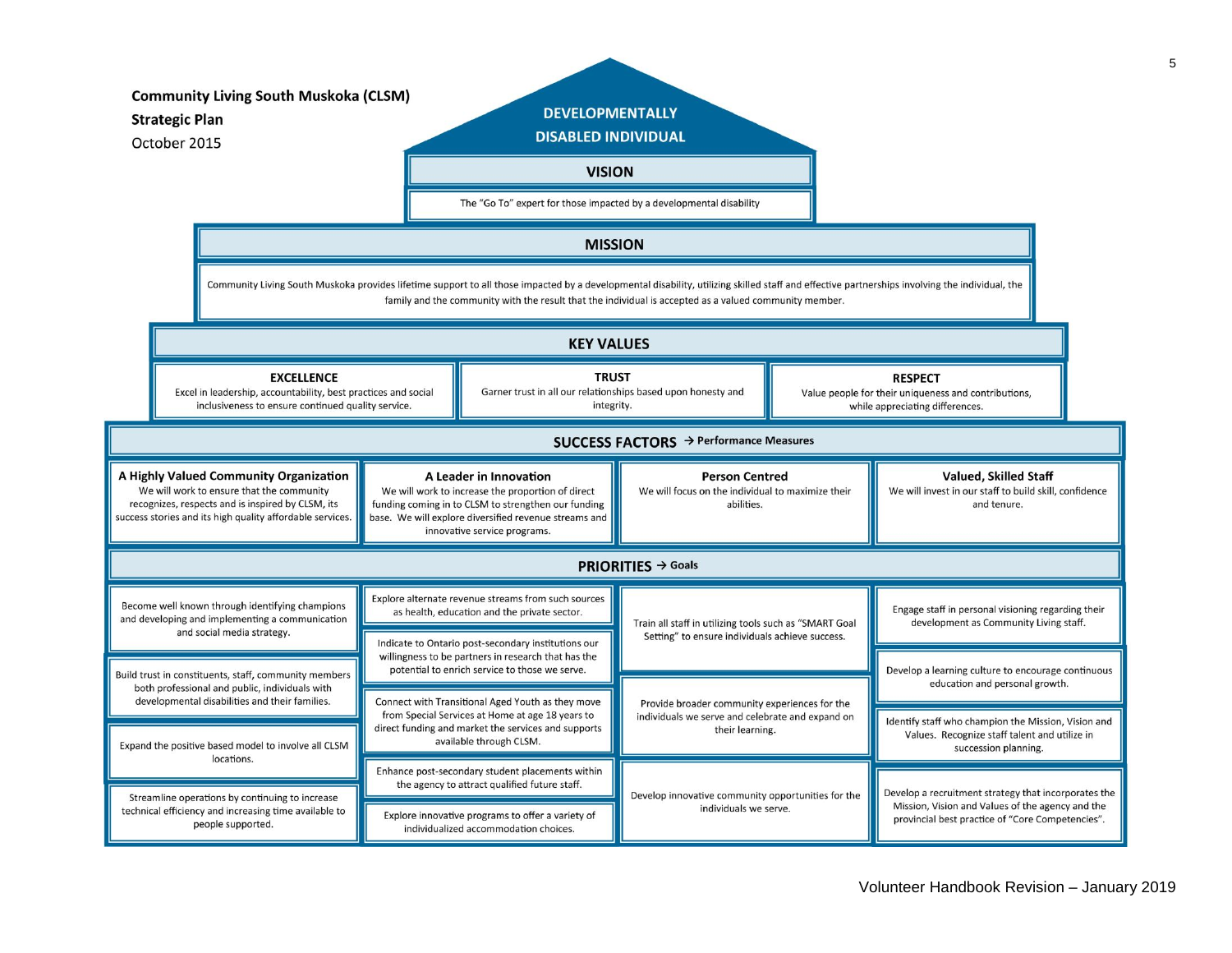| <b>Community Living South Muskoka (CLSM)</b><br><b>Strategic Plan</b><br>October 2015                                                                                                                                          |                   |                                                                                                                                                                                                                                                                                                          |                                                                                                                                                                                                                             | <b>DEVELOPMENTALLY</b><br><b>DISABLED INDIVIDUAL</b><br><b>VISION</b><br>The "Go To" expert for those impacted by a developmental disability |                                                                                                                      |                                                                                                           |                                                                                                                              |  |
|--------------------------------------------------------------------------------------------------------------------------------------------------------------------------------------------------------------------------------|-------------------|----------------------------------------------------------------------------------------------------------------------------------------------------------------------------------------------------------------------------------------------------------------------------------------------------------|-----------------------------------------------------------------------------------------------------------------------------------------------------------------------------------------------------------------------------|----------------------------------------------------------------------------------------------------------------------------------------------|----------------------------------------------------------------------------------------------------------------------|-----------------------------------------------------------------------------------------------------------|------------------------------------------------------------------------------------------------------------------------------|--|
|                                                                                                                                                                                                                                |                   |                                                                                                                                                                                                                                                                                                          |                                                                                                                                                                                                                             | <b>MISSION</b>                                                                                                                               |                                                                                                                      |                                                                                                           |                                                                                                                              |  |
|                                                                                                                                                                                                                                |                   | Community Living South Muskoka provides lifetime support to all those impacted by a developmental disability, utilizing skilled staff and effective partnerships involving the individual, the<br>family and the community with the result that the individual is accepted as a valued community member. |                                                                                                                                                                                                                             |                                                                                                                                              |                                                                                                                      |                                                                                                           |                                                                                                                              |  |
|                                                                                                                                                                                                                                | <b>KEY VALUES</b> |                                                                                                                                                                                                                                                                                                          |                                                                                                                                                                                                                             |                                                                                                                                              |                                                                                                                      |                                                                                                           |                                                                                                                              |  |
| <b>EXCELLENCE</b><br>Excel in leadership, accountability, best practices and social<br>inclusiveness to ensure continued quality service.                                                                                      |                   |                                                                                                                                                                                                                                                                                                          |                                                                                                                                                                                                                             | <b>TRUST</b><br>Garner trust in all our relationships based upon honesty and<br>integrity.                                                   |                                                                                                                      | <b>RESPECT</b><br>Value people for their uniqueness and contributions,<br>while appreciating differences. |                                                                                                                              |  |
| SUCCESS FACTORS → Performance Measures                                                                                                                                                                                         |                   |                                                                                                                                                                                                                                                                                                          |                                                                                                                                                                                                                             |                                                                                                                                              |                                                                                                                      |                                                                                                           |                                                                                                                              |  |
| A Highly Valued Community Organization<br>We will work to ensure that the community<br>recognizes, respects and is inspired by CLSM, its<br>success stories and its high quality affordable services.                          |                   |                                                                                                                                                                                                                                                                                                          | A Leader in Innovation<br>We will work to increase the proportion of direct<br>funding coming in to CLSM to strengthen our funding<br>base. We will explore diversified revenue streams and<br>innovative service programs. |                                                                                                                                              | <b>Person Centred</b><br>We will focus on the individual to maximize their<br>abilities.                             |                                                                                                           | <b>Valued, Skilled Staff</b><br>We will invest in our staff to build skill, confidence<br>and tenure.                        |  |
| <b>PRIORITIES</b> $\rightarrow$ Goals                                                                                                                                                                                          |                   |                                                                                                                                                                                                                                                                                                          |                                                                                                                                                                                                                             |                                                                                                                                              |                                                                                                                      |                                                                                                           |                                                                                                                              |  |
| Become well known through identifying champions<br>and developing and implementing a communication<br>and social media strategy.                                                                                               |                   |                                                                                                                                                                                                                                                                                                          | Explore alternate revenue streams from such sources<br>as health, education and the private sector.                                                                                                                         |                                                                                                                                              | Train all staff in utilizing tools such as "SMART Goal<br>Setting" to ensure individuals achieve success.            |                                                                                                           | Engage staff in personal visioning regarding their<br>development as Community Living staff.                                 |  |
| Build trust in constituents, staff, community members<br>both professional and public, individuals with<br>developmental disabilities and their families.<br>Expand the positive based model to involve all CLSM<br>locations. |                   |                                                                                                                                                                                                                                                                                                          | Indicate to Ontario post-secondary institutions our<br>willingness to be partners in research that has the<br>potential to enrich service to those we serve.                                                                |                                                                                                                                              |                                                                                                                      |                                                                                                           | Develop a learning culture to encourage continuous                                                                           |  |
|                                                                                                                                                                                                                                |                   |                                                                                                                                                                                                                                                                                                          | Connect with Transitional Aged Youth as they move<br>from Special Services at Home at age 18 years to<br>direct funding and market the services and supports<br>available through CLSM.                                     |                                                                                                                                              | Provide broader community experiences for the<br>individuals we serve and celebrate and expand on<br>their learning. |                                                                                                           | education and personal growth.                                                                                               |  |
|                                                                                                                                                                                                                                |                   |                                                                                                                                                                                                                                                                                                          |                                                                                                                                                                                                                             |                                                                                                                                              |                                                                                                                      |                                                                                                           | Identify staff who champion the Mission, Vision and<br>Values. Recognize staff talent and utilize in<br>succession planning. |  |
| Streamline operations by continuing to increase<br>technical efficiency and increasing time available to<br>people supported.                                                                                                  |                   | Enhance post-secondary student placements within<br>the agency to attract qualified future staff.                                                                                                                                                                                                        |                                                                                                                                                                                                                             | Develop innovative community opportunities for the<br>individuals we serve.                                                                  |                                                                                                                      | Develop a recruitment strategy that incorporates the                                                      |                                                                                                                              |  |
|                                                                                                                                                                                                                                |                   | Explore innovative programs to offer a variety of<br>individualized accommodation choices.                                                                                                                                                                                                               |                                                                                                                                                                                                                             |                                                                                                                                              |                                                                                                                      | Mission, Vision and Values of the agency and the<br>provincial best practice of "Core Competencies".      |                                                                                                                              |  |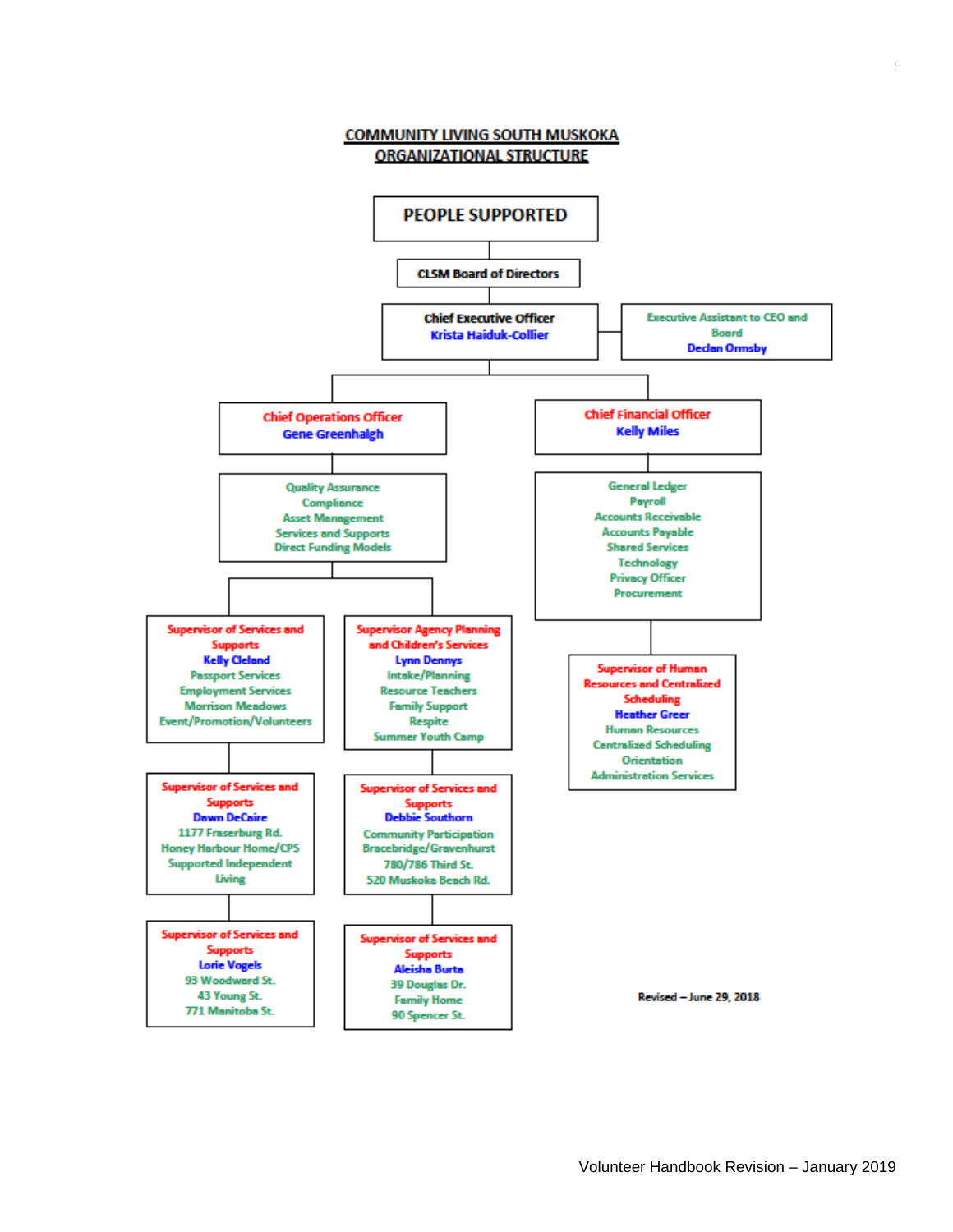

6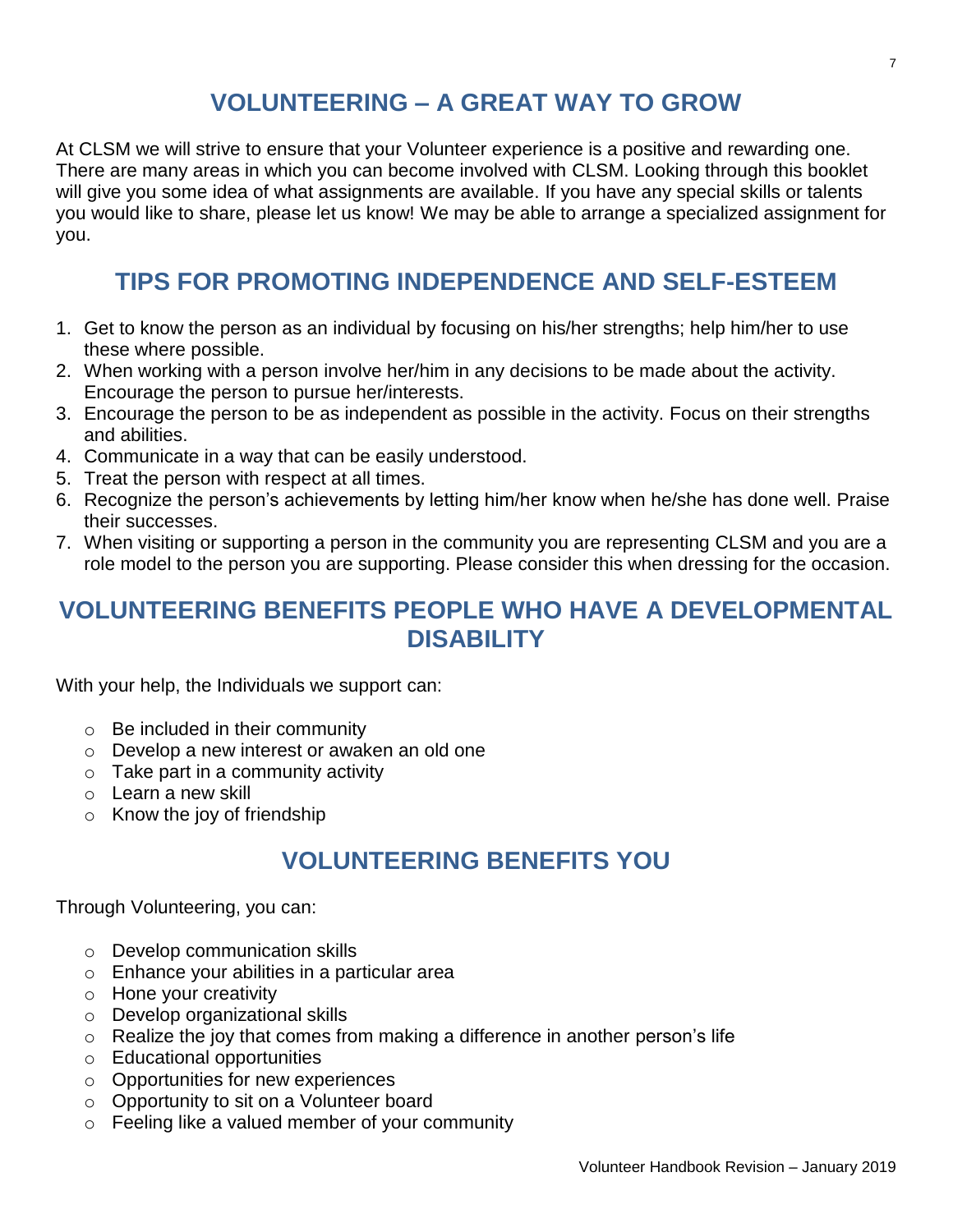## **VOLUNTEERING – A GREAT WAY TO GROW**

At CLSM we will strive to ensure that your Volunteer experience is a positive and rewarding one. There are many areas in which you can become involved with CLSM. Looking through this booklet will give you some idea of what assignments are available. If you have any special skills or talents you would like to share, please let us know! We may be able to arrange a specialized assignment for you.

## **TIPS FOR PROMOTING INDEPENDENCE AND SELF-ESTEEM**

- 1. Get to know the person as an individual by focusing on his/her strengths; help him/her to use these where possible.
- 2. When working with a person involve her/him in any decisions to be made about the activity. Encourage the person to pursue her/interests.
- 3. Encourage the person to be as independent as possible in the activity. Focus on their strengths and abilities.
- 4. Communicate in a way that can be easily understood.
- 5. Treat the person with respect at all times.
- 6. Recognize the person's achievements by letting him/her know when he/she has done well. Praise their successes.
- 7. When visiting or supporting a person in the community you are representing CLSM and you are a role model to the person you are supporting. Please consider this when dressing for the occasion.

## **VOLUNTEERING BENEFITS PEOPLE WHO HAVE A DEVELOPMENTAL DISABILITY**

With your help, the Individuals we support can:

- $\circ$  Be included in their community
- o Develop a new interest or awaken an old one
- o Take part in a community activity
- o Learn a new skill
- $\circ$  Know the joy of friendship

## **VOLUNTEERING BENEFITS YOU**

Through Volunteering, you can:

- o Develop communication skills
- o Enhance your abilities in a particular area
- o Hone your creativity
- o Develop organizational skills
- o Realize the joy that comes from making a difference in another person's life
- o Educational opportunities
- o Opportunities for new experiences
- o Opportunity to sit on a Volunteer board
- $\circ$  Feeling like a valued member of your community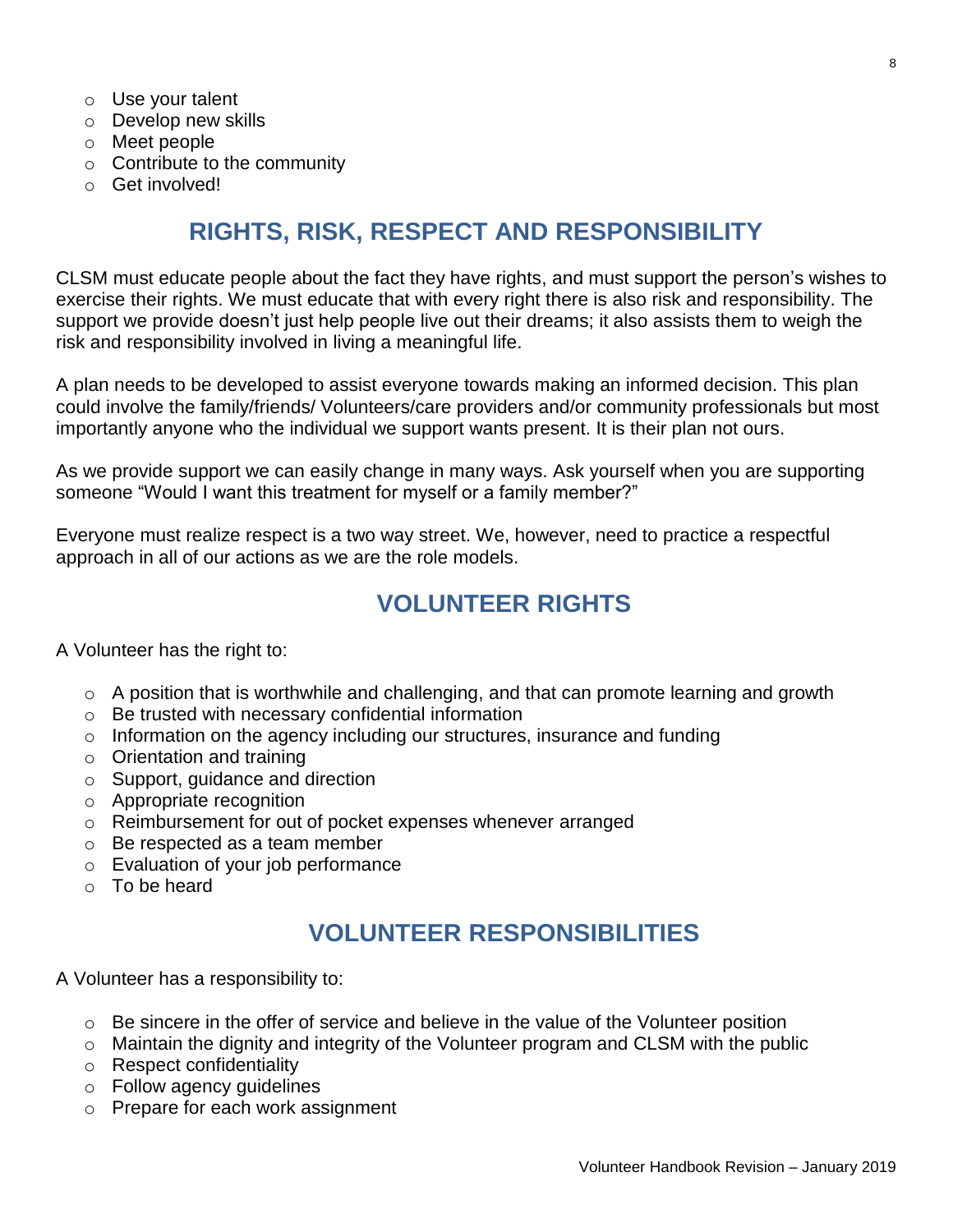- o Use your talent
- o Develop new skills
- o Meet people
- o Contribute to the community
- o Get involved!

## **RIGHTS, RISK, RESPECT AND RESPONSIBILITY**

CLSM must educate people about the fact they have rights, and must support the person's wishes to exercise their rights. We must educate that with every right there is also risk and responsibility. The support we provide doesn't just help people live out their dreams; it also assists them to weigh the risk and responsibility involved in living a meaningful life.

A plan needs to be developed to assist everyone towards making an informed decision. This plan could involve the family/friends/ Volunteers/care providers and/or community professionals but most importantly anyone who the individual we support wants present. It is their plan not ours.

As we provide support we can easily change in many ways. Ask yourself when you are supporting someone "Would I want this treatment for myself or a family member?"

Everyone must realize respect is a two way street. We, however, need to practice a respectful approach in all of our actions as we are the role models.

### **VOLUNTEER RIGHTS**

A Volunteer has the right to:

- o A position that is worthwhile and challenging, and that can promote learning and growth
- o Be trusted with necessary confidential information
- o Information on the agency including our structures, insurance and funding
- o Orientation and training
- o Support, guidance and direction
- o Appropriate recognition
- o Reimbursement for out of pocket expenses whenever arranged
- o Be respected as a team member
- o Evaluation of your job performance
- o To be heard

## **VOLUNTEER RESPONSIBILITIES**

A Volunteer has a responsibility to:

- $\circ$  Be sincere in the offer of service and believe in the value of the Volunteer position
- o Maintain the dignity and integrity of the Volunteer program and CLSM with the public
- o Respect confidentiality
- o Follow agency guidelines
- o Prepare for each work assignment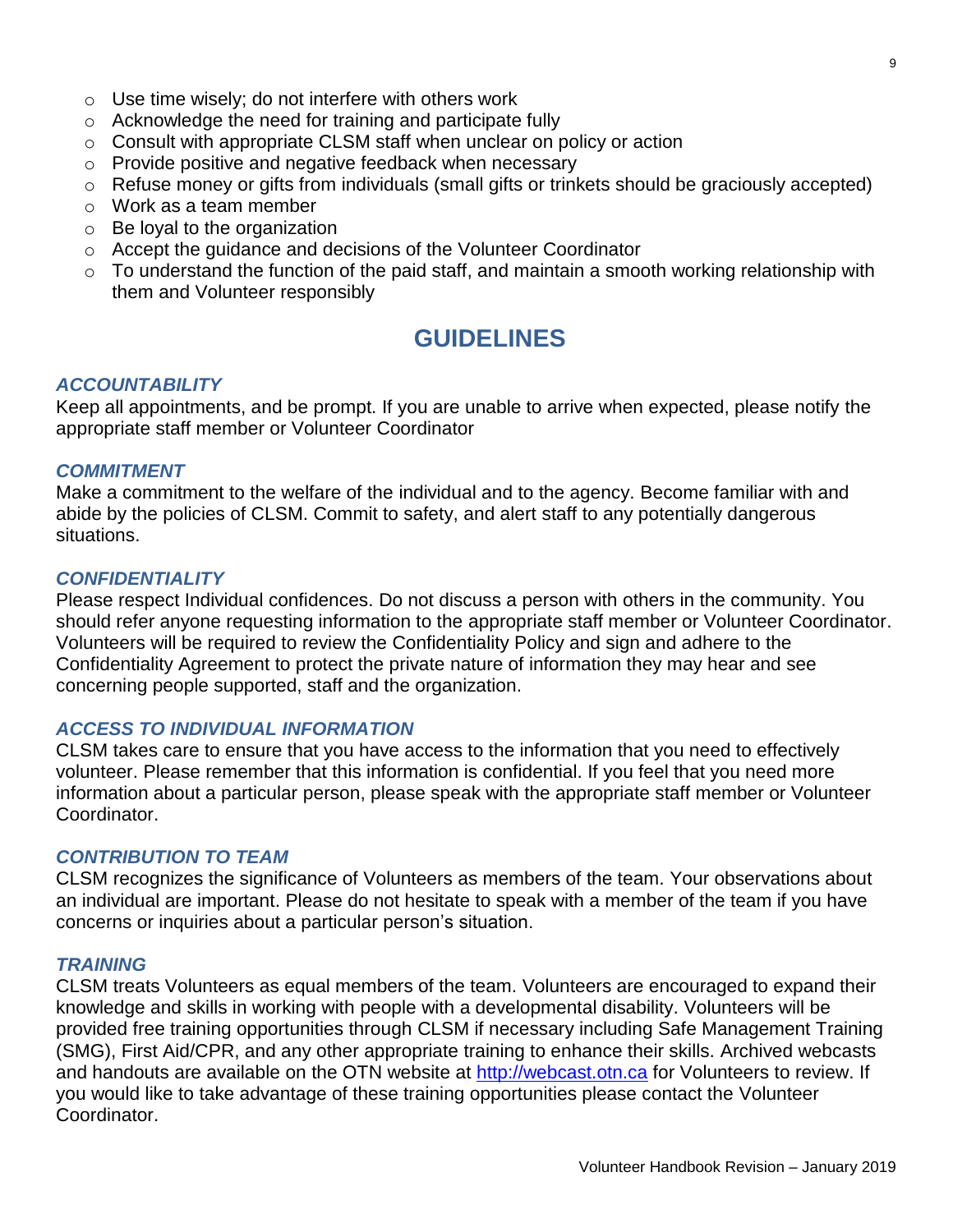- $\circ$  Use time wisely; do not interfere with others work
- o Acknowledge the need for training and participate fully
- $\circ$  Consult with appropriate CLSM staff when unclear on policy or action
- o Provide positive and negative feedback when necessary
- o Refuse money or gifts from individuals (small gifts or trinkets should be graciously accepted)
- o Work as a team member
- $\circ$  Be loyal to the organization
- o Accept the guidance and decisions of the Volunteer Coordinator
- $\circ$  To understand the function of the paid staff, and maintain a smooth working relationship with them and Volunteer responsibly

### **GUIDELINES**

#### *ACCOUNTABILITY*

Keep all appointments, and be prompt. If you are unable to arrive when expected, please notify the appropriate staff member or Volunteer Coordinator

#### *COMMITMENT*

Make a commitment to the welfare of the individual and to the agency. Become familiar with and abide by the policies of CLSM. Commit to safety, and alert staff to any potentially dangerous situations.

#### *CONFIDENTIALITY*

Please respect Individual confidences. Do not discuss a person with others in the community. You should refer anyone requesting information to the appropriate staff member or Volunteer Coordinator. Volunteers will be required to review the Confidentiality Policy and sign and adhere to the Confidentiality Agreement to protect the private nature of information they may hear and see concerning people supported, staff and the organization.

#### *ACCESS TO INDIVIDUAL INFORMATION*

CLSM takes care to ensure that you have access to the information that you need to effectively volunteer. Please remember that this information is confidential. If you feel that you need more information about a particular person, please speak with the appropriate staff member or Volunteer Coordinator.

#### *CONTRIBUTION TO TEAM*

CLSM recognizes the significance of Volunteers as members of the team. Your observations about an individual are important. Please do not hesitate to speak with a member of the team if you have concerns or inquiries about a particular person's situation.

#### *TRAINING*

CLSM treats Volunteers as equal members of the team. Volunteers are encouraged to expand their knowledge and skills in working with people with a developmental disability. Volunteers will be provided free training opportunities through CLSM if necessary including Safe Management Training (SMG), First Aid/CPR, and any other appropriate training to enhance their skills. Archived webcasts and handouts are available on the OTN website at [http://webcast.otn.ca](http://webcast.otn.ca/) for Volunteers to review. If you would like to take advantage of these training opportunities please contact the Volunteer Coordinator.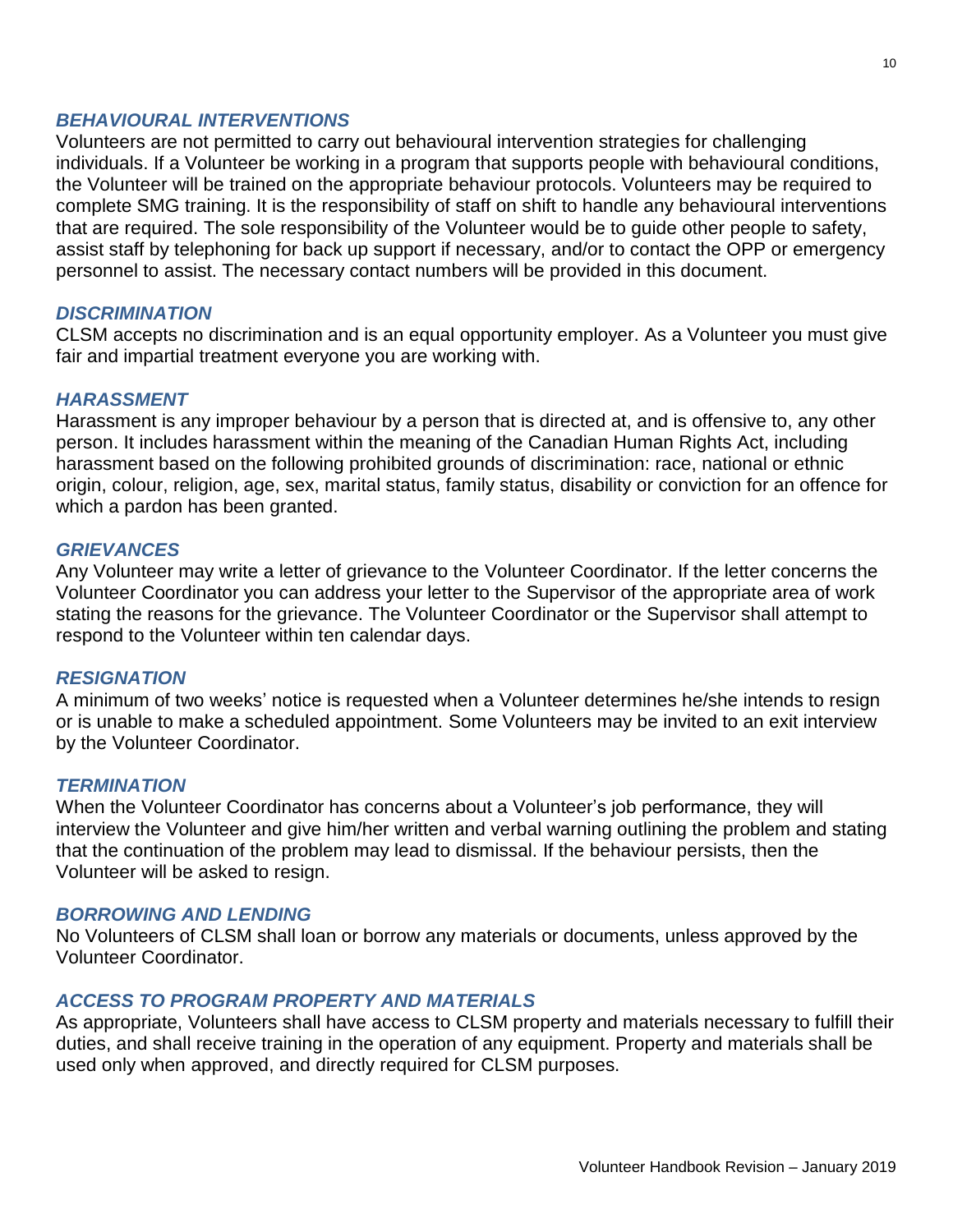#### *BEHAVIOURAL INTERVENTIONS*

Volunteers are not permitted to carry out behavioural intervention strategies for challenging individuals. If a Volunteer be working in a program that supports people with behavioural conditions, the Volunteer will be trained on the appropriate behaviour protocols. Volunteers may be required to complete SMG training. It is the responsibility of staff on shift to handle any behavioural interventions that are required. The sole responsibility of the Volunteer would be to guide other people to safety, assist staff by telephoning for back up support if necessary, and/or to contact the OPP or emergency personnel to assist. The necessary contact numbers will be provided in this document.

#### *DISCRIMINATION*

CLSM accepts no discrimination and is an equal opportunity employer. As a Volunteer you must give fair and impartial treatment everyone you are working with.

#### *HARASSMENT*

Harassment is any improper behaviour by a person that is directed at, and is offensive to, any other person. It includes harassment within the meaning of the Canadian Human Rights Act, including harassment based on the following prohibited grounds of discrimination: race, national or ethnic origin, colour, religion, age, sex, marital status, family status, disability or conviction for an offence for which a pardon has been granted.

#### *GRIEVANCES*

Any Volunteer may write a letter of grievance to the Volunteer Coordinator. If the letter concerns the Volunteer Coordinator you can address your letter to the Supervisor of the appropriate area of work stating the reasons for the grievance. The Volunteer Coordinator or the Supervisor shall attempt to respond to the Volunteer within ten calendar days.

#### *RESIGNATION*

A minimum of two weeks' notice is requested when a Volunteer determines he/she intends to resign or is unable to make a scheduled appointment. Some Volunteers may be invited to an exit interview by the Volunteer Coordinator.

#### *TERMINATION*

When the Volunteer Coordinator has concerns about a Volunteer's job performance, they will interview the Volunteer and give him/her written and verbal warning outlining the problem and stating that the continuation of the problem may lead to dismissal. If the behaviour persists, then the Volunteer will be asked to resign.

#### *BORROWING AND LENDING*

No Volunteers of CLSM shall loan or borrow any materials or documents, unless approved by the Volunteer Coordinator.

#### *ACCESS TO PROGRAM PROPERTY AND MATERIALS*

As appropriate, Volunteers shall have access to CLSM property and materials necessary to fulfill their duties, and shall receive training in the operation of any equipment. Property and materials shall be used only when approved, and directly required for CLSM purposes.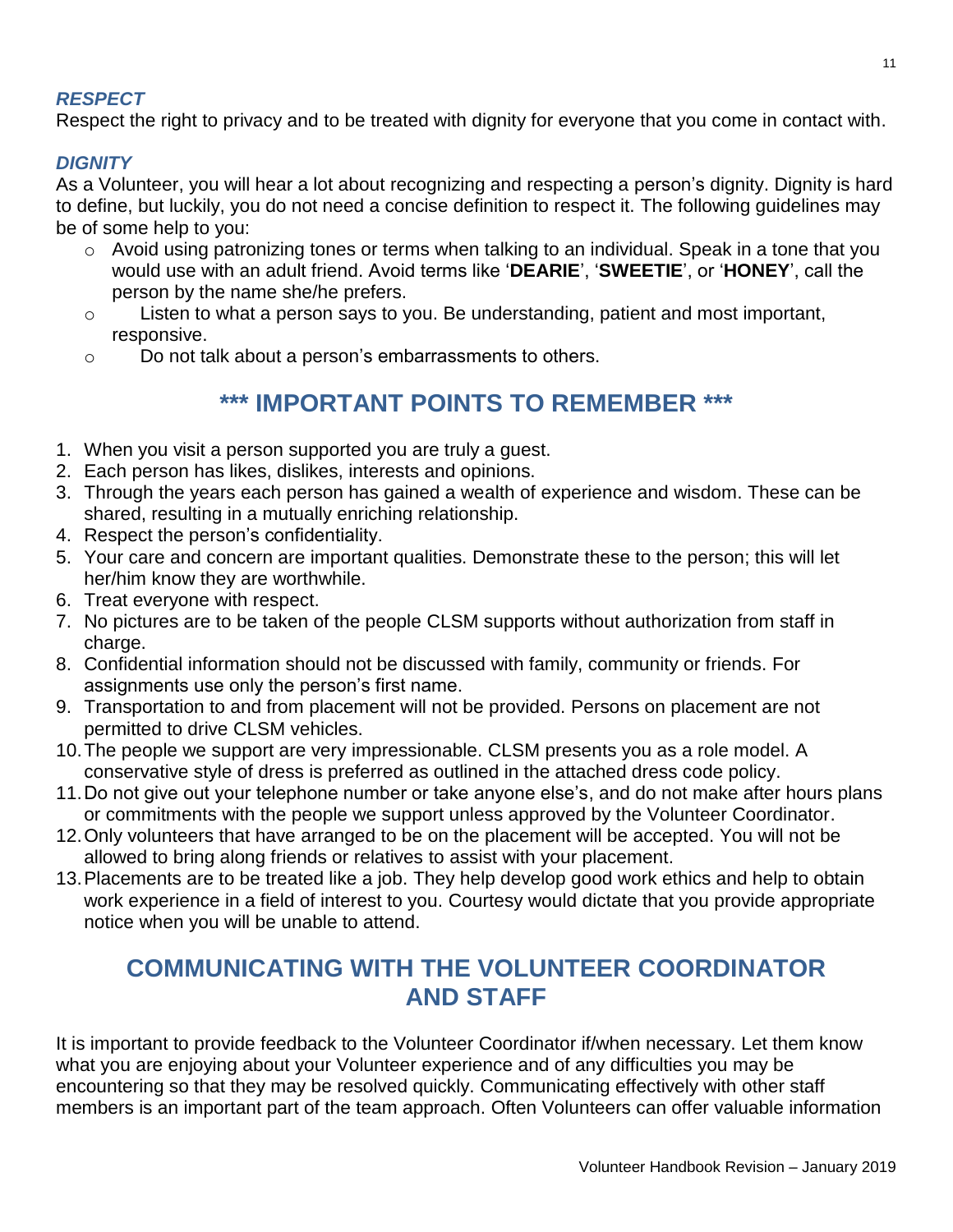#### *RESPECT*

Respect the right to privacy and to be treated with dignity for everyone that you come in contact with.

#### *DIGNITY*

As a Volunteer, you will hear a lot about recognizing and respecting a person's dignity. Dignity is hard to define, but luckily, you do not need a concise definition to respect it. The following guidelines may be of some help to you:

- o Avoid using patronizing tones or terms when talking to an individual. Speak in a tone that you would use with an adult friend. Avoid terms like '**DEARIE**', '**SWEETIE**', or '**HONEY**', call the person by the name she/he prefers.
- o Listen to what a person says to you. Be understanding, patient and most important, responsive.
- o Do not talk about a person's embarrassments to others.

## **\*\*\* IMPORTANT POINTS TO REMEMBER \*\*\***

- 1. When you visit a person supported you are truly a guest.
- 2. Each person has likes, dislikes, interests and opinions.
- 3. Through the years each person has gained a wealth of experience and wisdom. These can be shared, resulting in a mutually enriching relationship.
- 4. Respect the person's confidentiality.
- 5. Your care and concern are important qualities. Demonstrate these to the person; this will let her/him know they are worthwhile.
- 6. Treat everyone with respect.
- 7. No pictures are to be taken of the people CLSM supports without authorization from staff in charge.
- 8. Confidential information should not be discussed with family, community or friends. For assignments use only the person's first name.
- 9. Transportation to and from placement will not be provided. Persons on placement are not permitted to drive CLSM vehicles.
- 10.The people we support are very impressionable. CLSM presents you as a role model. A conservative style of dress is preferred as outlined in the attached dress code policy.
- 11.Do not give out your telephone number or take anyone else's, and do not make after hours plans or commitments with the people we support unless approved by the Volunteer Coordinator.
- 12.Only volunteers that have arranged to be on the placement will be accepted. You will not be allowed to bring along friends or relatives to assist with your placement.
- 13.Placements are to be treated like a job. They help develop good work ethics and help to obtain work experience in a field of interest to you. Courtesy would dictate that you provide appropriate notice when you will be unable to attend.

## **COMMUNICATING WITH THE VOLUNTEER COORDINATOR AND STAFF**

It is important to provide feedback to the Volunteer Coordinator if/when necessary. Let them know what you are enjoying about your Volunteer experience and of any difficulties you may be encountering so that they may be resolved quickly. Communicating effectively with other staff members is an important part of the team approach. Often Volunteers can offer valuable information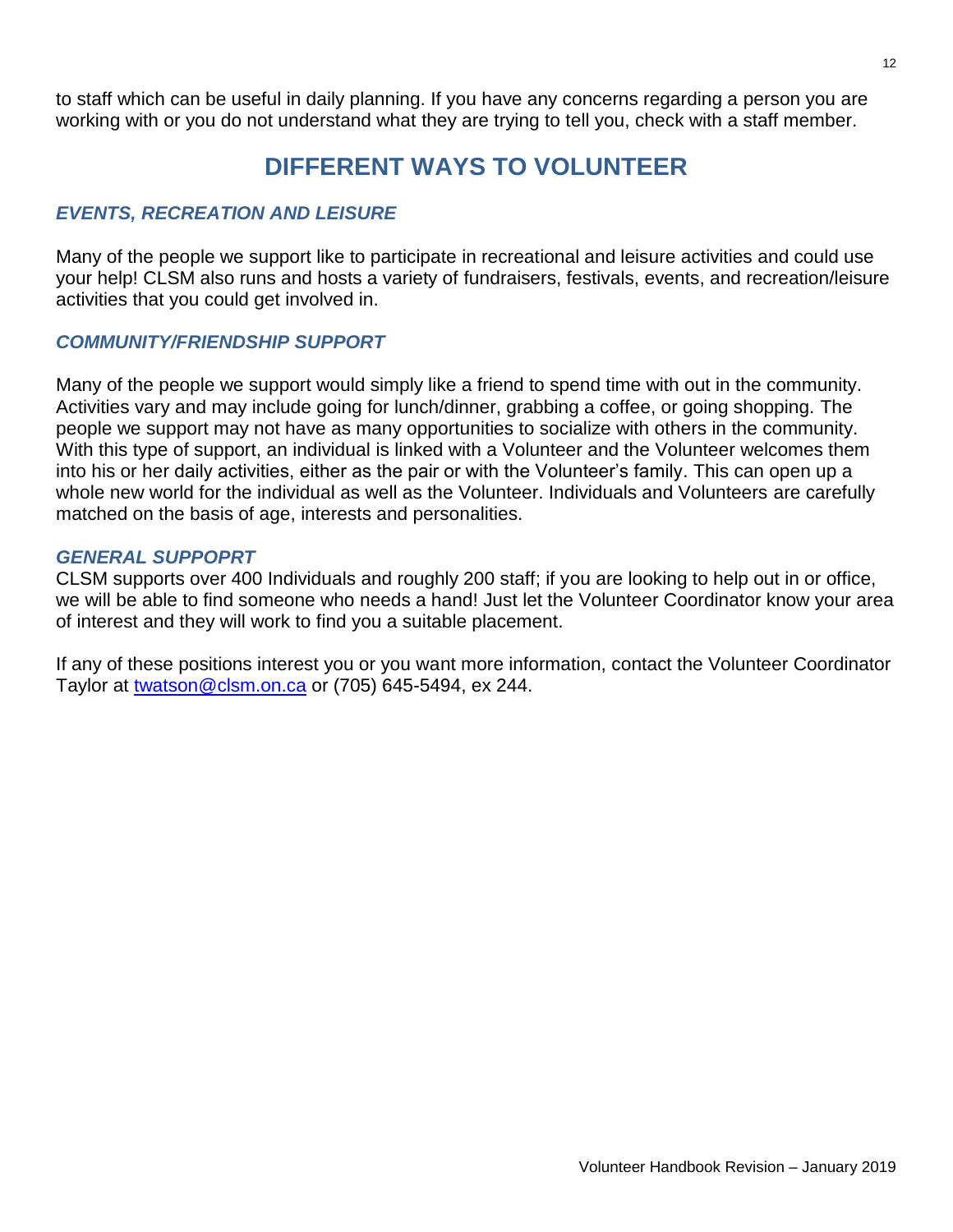to staff which can be useful in daily planning. If you have any concerns regarding a person you are working with or you do not understand what they are trying to tell you, check with a staff member.

## **DIFFERENT WAYS TO VOLUNTEER**

#### *EVENTS, RECREATION AND LEISURE*

Many of the people we support like to participate in recreational and leisure activities and could use your help! CLSM also runs and hosts a variety of fundraisers, festivals, events, and recreation/leisure activities that you could get involved in.

#### *COMMUNITY/FRIENDSHIP SUPPORT*

Many of the people we support would simply like a friend to spend time with out in the community. Activities vary and may include going for lunch/dinner, grabbing a coffee, or going shopping. The people we support may not have as many opportunities to socialize with others in the community. With this type of support, an individual is linked with a Volunteer and the Volunteer welcomes them into his or her daily activities, either as the pair or with the Volunteer's family. This can open up a whole new world for the individual as well as the Volunteer. Individuals and Volunteers are carefully matched on the basis of age, interests and personalities.

#### *GENERAL SUPPOPRT*

CLSM supports over 400 Individuals and roughly 200 staff; if you are looking to help out in or office, we will be able to find someone who needs a hand! Just let the Volunteer Coordinator know your area of interest and they will work to find you a suitable placement.

If any of these positions interest you or you want more information, contact the Volunteer Coordinator Taylor at [twatson@clsm.on.ca](mailto:twatson@clsm.on.ca) or (705) 645-5494, ex 244.